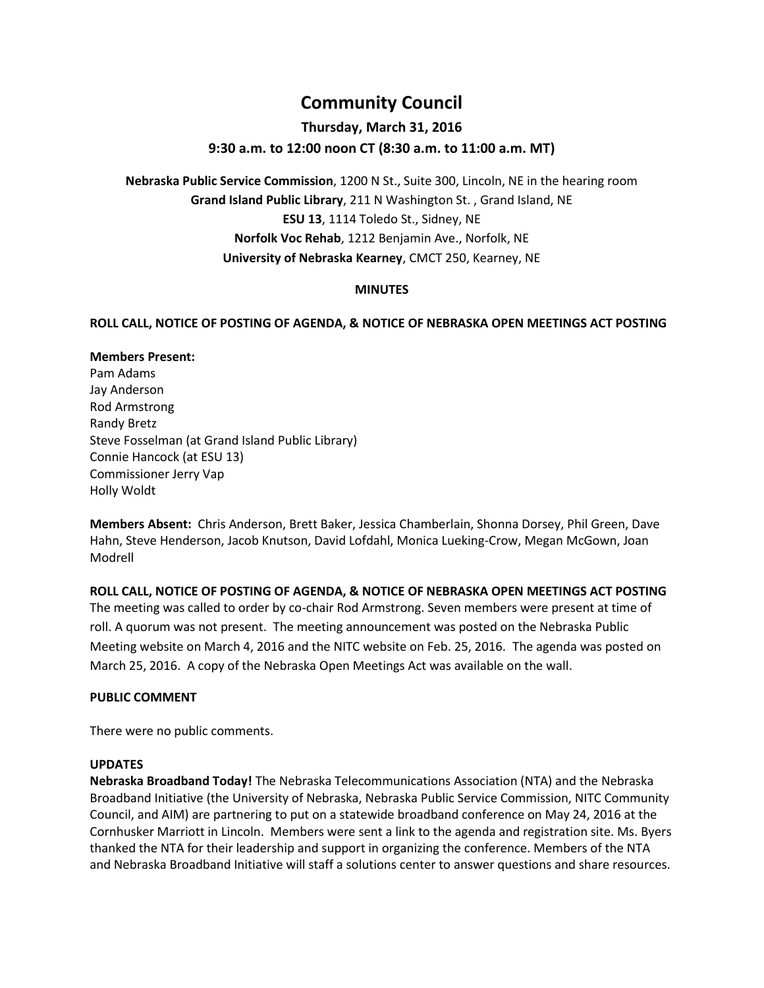# **Community Council**

## **Thursday, March 31, 2016**

## **9:30 a.m. to 12:00 noon CT (8:30 a.m. to 11:00 a.m. MT)**

**Nebraska Public Service Commission**, 1200 N St., Suite 300, Lincoln, NE in the hearing room **Grand Island Public Library**, 211 N Washington St. , Grand Island, NE **ESU 13**, 1114 Toledo St., Sidney, NE **Norfolk Voc Rehab**, 1212 Benjamin Ave., Norfolk, NE **University of Nebraska Kearney**, CMCT 250, Kearney, NE

## **MINUTES**

## **ROLL CALL, NOTICE OF POSTING OF AGENDA, & NOTICE OF NEBRASKA OPEN MEETINGS ACT POSTING**

# **Members Present:**

Pam Adams Jay Anderson Rod Armstrong Randy Bretz Steve Fosselman (at Grand Island Public Library) Connie Hancock (at ESU 13) Commissioner Jerry Vap Holly Woldt

**Members Absent:** Chris Anderson, Brett Baker, Jessica Chamberlain, Shonna Dorsey, Phil Green, Dave Hahn, Steve Henderson, Jacob Knutson, David Lofdahl, Monica Lueking-Crow, Megan McGown, Joan Modrell

**ROLL CALL, NOTICE OF POSTING OF AGENDA, & NOTICE OF NEBRASKA OPEN MEETINGS ACT POSTING** The meeting was called to order by co-chair Rod Armstrong. Seven members were present at time of roll. A quorum was not present. The meeting announcement was posted on the Nebraska Public Meeting website on March 4, 2016 and the NITC website on Feb. 25, 2016. The agenda was posted on March 25, 2016. A copy of the Nebraska Open Meetings Act was available on the wall.

## **PUBLIC COMMENT**

There were no public comments.

#### **UPDATES**

**Nebraska Broadband Today!** The Nebraska Telecommunications Association (NTA) and the Nebraska Broadband Initiative (the University of Nebraska, Nebraska Public Service Commission, NITC Community Council, and AIM) are partnering to put on a statewide broadband conference on May 24, 2016 at the Cornhusker Marriott in Lincoln. Members were sent a link to the agenda and registration site. Ms. Byers thanked the NTA for their leadership and support in organizing the conference. Members of the NTA and Nebraska Broadband Initiative will staff a solutions center to answer questions and share resources.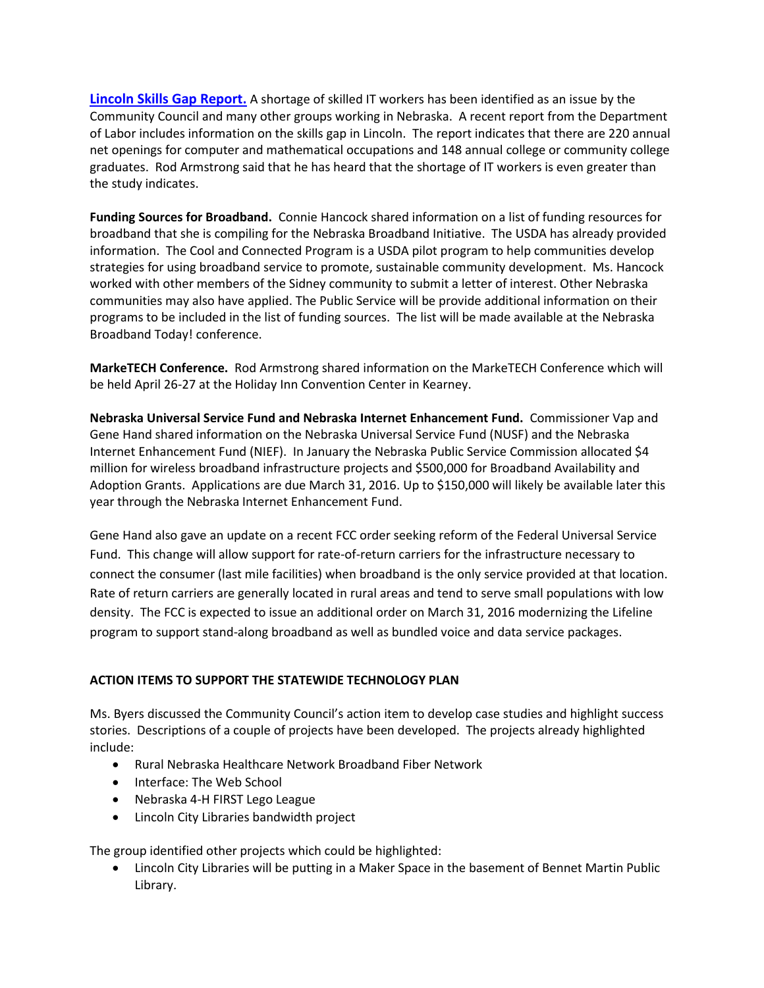**[Lincoln Skills Gap Report.](https://neworks.nebraska.gov/admin/gsipub/htmlarea/uploads/LincolnSkillsGap2016.pdf)** A shortage of skilled IT workers has been identified as an issue by the Community Council and many other groups working in Nebraska. A recent report from the Department of Labor includes information on the skills gap in Lincoln. The report indicates that there are 220 annual net openings for computer and mathematical occupations and 148 annual college or community college graduates. Rod Armstrong said that he has heard that the shortage of IT workers is even greater than the study indicates.

**Funding Sources for Broadband.** Connie Hancock shared information on a list of funding resources for broadband that she is compiling for the Nebraska Broadband Initiative. The USDA has already provided information. The Cool and Connected Program is a USDA pilot program to help communities develop strategies for using broadband service to promote, sustainable community development. Ms. Hancock worked with other members of the Sidney community to submit a letter of interest. Other Nebraska communities may also have applied. The Public Service will be provide additional information on their programs to be included in the list of funding sources. The list will be made available at the Nebraska Broadband Today! conference.

**MarkeTECH Conference.** Rod Armstrong shared information on the MarkeTECH Conference which will be held April 26-27 at the Holiday Inn Convention Center in Kearney.

**Nebraska Universal Service Fund and Nebraska Internet Enhancement Fund.** Commissioner Vap and Gene Hand shared information on the Nebraska Universal Service Fund (NUSF) and the Nebraska Internet Enhancement Fund (NIEF). In January the Nebraska Public Service Commission allocated \$4 million for wireless broadband infrastructure projects and \$500,000 for Broadband Availability and Adoption Grants. Applications are due March 31, 2016. Up to \$150,000 will likely be available later this year through the Nebraska Internet Enhancement Fund.

Gene Hand also gave an update on a recent FCC order seeking reform of the Federal Universal Service Fund. This change will allow support for rate-of-return carriers for the infrastructure necessary to connect the consumer (last mile facilities) when broadband is the only service provided at that location. Rate of return carriers are generally located in rural areas and tend to serve small populations with low density. The FCC is expected to issue an additional order on March 31, 2016 modernizing the Lifeline program to support stand-along broadband as well as bundled voice and data service packages.

## **ACTION ITEMS TO SUPPORT THE STATEWIDE TECHNOLOGY PLAN**

Ms. Byers discussed the Community Council's action item to develop case studies and highlight success stories. Descriptions of a couple of projects have been developed. The projects already highlighted include:

- Rural Nebraska Healthcare Network Broadband Fiber Network
- Interface: The Web School
- Nebraska 4-H FIRST Lego League
- Lincoln City Libraries bandwidth project

The group identified other projects which could be highlighted:

 Lincoln City Libraries will be putting in a Maker Space in the basement of Bennet Martin Public Library.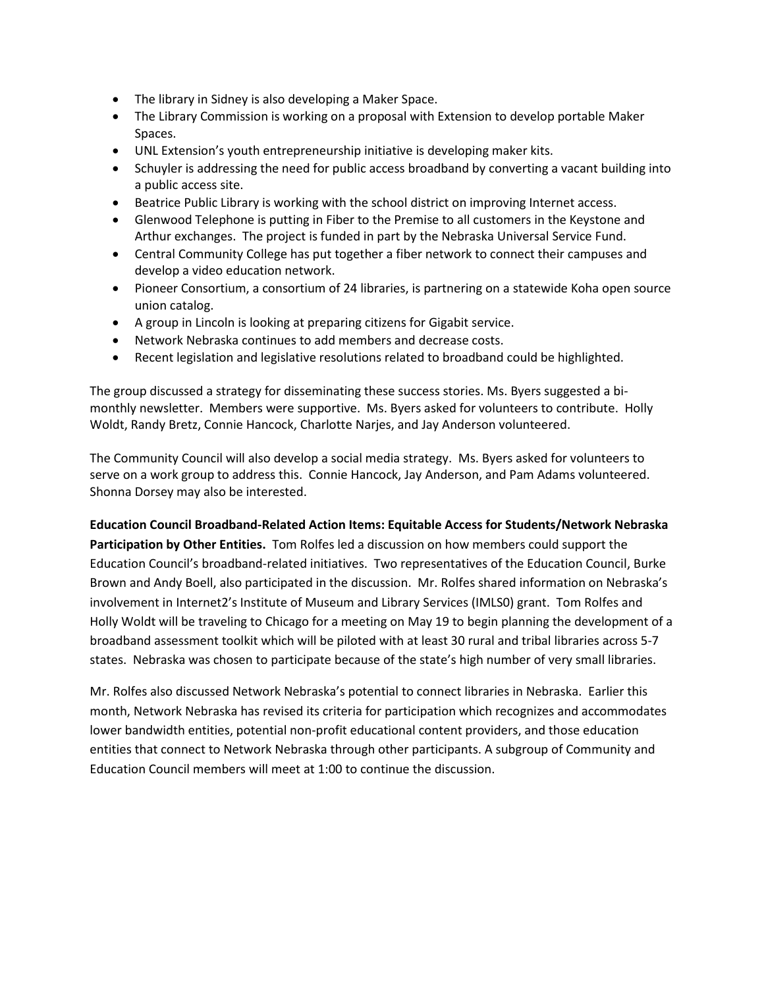- The library in Sidney is also developing a Maker Space.
- The Library Commission is working on a proposal with Extension to develop portable Maker Spaces.
- UNL Extension's youth entrepreneurship initiative is developing maker kits.
- Schuyler is addressing the need for public access broadband by converting a vacant building into a public access site.
- Beatrice Public Library is working with the school district on improving Internet access.
- Glenwood Telephone is putting in Fiber to the Premise to all customers in the Keystone and Arthur exchanges. The project is funded in part by the Nebraska Universal Service Fund.
- Central Community College has put together a fiber network to connect their campuses and develop a video education network.
- Pioneer Consortium, a consortium of 24 libraries, is partnering on a statewide Koha open source union catalog.
- A group in Lincoln is looking at preparing citizens for Gigabit service.
- Network Nebraska continues to add members and decrease costs.
- Recent legislation and legislative resolutions related to broadband could be highlighted.

The group discussed a strategy for disseminating these success stories. Ms. Byers suggested a bimonthly newsletter. Members were supportive. Ms. Byers asked for volunteers to contribute. Holly Woldt, Randy Bretz, Connie Hancock, Charlotte Narjes, and Jay Anderson volunteered.

The Community Council will also develop a social media strategy. Ms. Byers asked for volunteers to serve on a work group to address this. Connie Hancock, Jay Anderson, and Pam Adams volunteered. Shonna Dorsey may also be interested.

#### **Education Council Broadband-Related Action Items: Equitable Access for Students/Network Nebraska**

**Participation by Other Entities.** Tom Rolfes led a discussion on how members could support the Education Council's broadband-related initiatives. Two representatives of the Education Council, Burke Brown and Andy Boell, also participated in the discussion. Mr. Rolfes shared information on Nebraska's involvement in Internet2's Institute of Museum and Library Services (IMLS0) grant. Tom Rolfes and Holly Woldt will be traveling to Chicago for a meeting on May 19 to begin planning the development of a broadband assessment toolkit which will be piloted with at least 30 rural and tribal libraries across 5-7 states. Nebraska was chosen to participate because of the state's high number of very small libraries.

Mr. Rolfes also discussed Network Nebraska's potential to connect libraries in Nebraska. Earlier this month, Network Nebraska has revised its criteria for participation which recognizes and accommodates lower bandwidth entities, potential non-profit educational content providers, and those education entities that connect to Network Nebraska through other participants. A subgroup of Community and Education Council members will meet at 1:00 to continue the discussion.